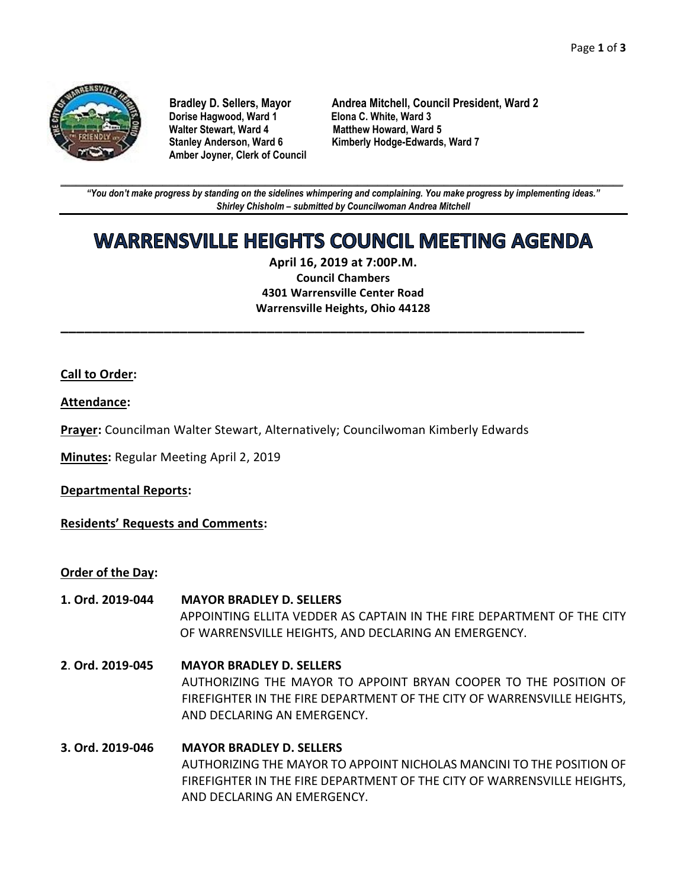

**Dorise Hagwood, Ward 1 Elona C. White, Ward 3 Amber Joyner, Clerk of Council**

**Bradley D. Sellers, Mayor Andrea Mitchell, Council President, Ward 2 Matthew Howard, Ward 5 Stanley Anderson, Ward 6 Kimberly Hodge-Edwards, Ward 7**

**\_\_\_\_\_\_\_\_\_\_\_\_\_\_\_\_\_\_\_\_\_\_\_\_\_\_\_\_\_\_\_\_\_\_\_\_\_\_\_\_\_\_\_\_\_\_\_\_\_\_\_\_\_\_\_\_\_\_\_\_\_\_\_\_\_\_\_\_\_\_\_\_\_\_\_\_\_\_\_\_\_\_\_\_\_\_\_\_\_\_\_\_\_\_\_\_\_\_\_\_\_\_\_\_\_\_\_\_\_\_** *"You don't make progress by standing on the sidelines whimpering and complaining. You make progress by implementing ideas." Shirley Chisholm – submitted by Councilwoman Andrea Mitchell*

# **WARRENSVILLE HEIGHTS COUNCIL MEETING AGENDA**

**April 16, 2019 at 7:00P.M. Council Chambers 4301 Warrensville Center Road Warrensville Heights, Ohio 44128**

**\_\_\_\_\_\_\_\_\_\_\_\_\_\_\_\_\_\_\_\_\_\_\_\_\_\_\_\_\_\_\_\_\_\_\_\_\_\_\_\_\_\_\_\_\_\_\_\_\_\_\_\_\_\_\_\_\_\_\_\_\_\_\_\_\_\_**

### **Call to Order:**

### **Attendance:**

**Prayer:** Councilman Walter Stewart, Alternatively; Councilwoman Kimberly Edwards

**Minutes:** Regular Meeting April 2, 2019

### **Departmental Reports:**

**Residents' Requests and Comments:**

**Order of the Day:**

- **1. Ord. 2019-044 MAYOR BRADLEY D. SELLERS**  APPOINTING ELLITA VEDDER AS CAPTAIN IN THE FIRE DEPARTMENT OF THE CITY OF WARRENSVILLE HEIGHTS, AND DECLARING AN EMERGENCY.
- **2**. **Ord. 2019-045 MAYOR BRADLEY D. SELLERS** AUTHORIZING THE MAYOR TO APPOINT BRYAN COOPER TO THE POSITION OF FIREFIGHTER IN THE FIRE DEPARTMENT OF THE CITY OF WARRENSVILLE HEIGHTS, AND DECLARING AN EMERGENCY.
- **3. Ord. 2019-046 MAYOR BRADLEY D. SELLERS** AUTHORIZING THE MAYOR TO APPOINT NICHOLAS MANCINI TO THE POSITION OF FIREFIGHTER IN THE FIRE DEPARTMENT OF THE CITY OF WARRENSVILLE HEIGHTS, AND DECLARING AN EMERGENCY.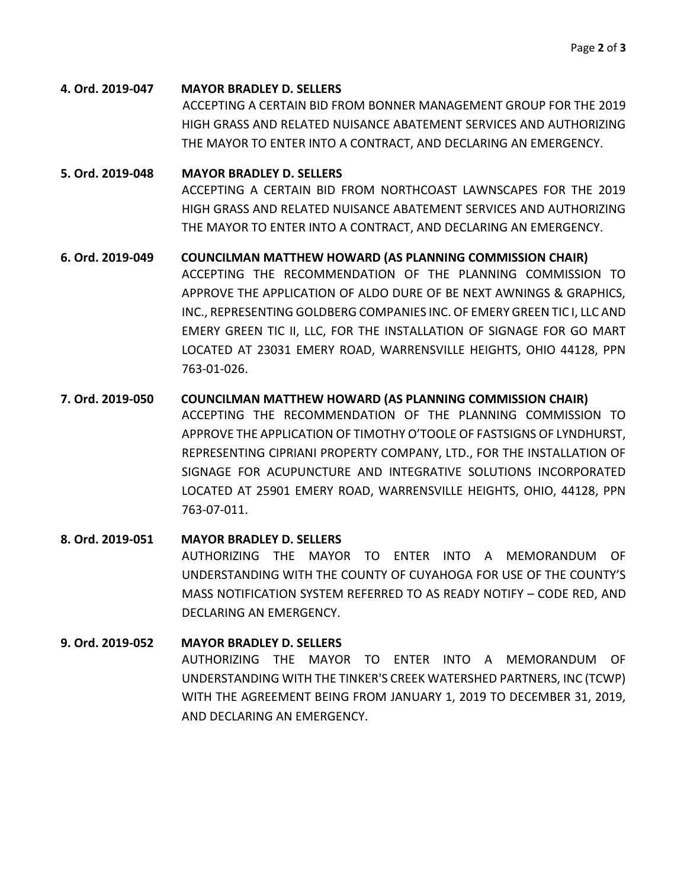**4. Ord. 2019-047 MAYOR BRADLEY D. SELLERS** ACCEPTING A CERTAIN BID FROM BONNER MANAGEMENT GROUP FOR THE 2019 HIGH GRASS AND RELATED NUISANCE ABATEMENT SERVICES AND AUTHORIZING THE MAYOR TO ENTER INTO A CONTRACT, AND DECLARING AN EMERGENCY.

### **5. Ord. 2019-048 MAYOR BRADLEY D. SELLERS** ACCEPTING A CERTAIN BID FROM NORTHCOAST LAWNSCAPES FOR THE 2019 HIGH GRASS AND RELATED NUISANCE ABATEMENT SERVICES AND AUTHORIZING THE MAYOR TO ENTER INTO A CONTRACT, AND DECLARING AN EMERGENCY.

### **6. Ord. 2019-049 COUNCILMAN MATTHEW HOWARD (AS PLANNING COMMISSION CHAIR)** ACCEPTING THE RECOMMENDATION OF THE PLANNING COMMISSION TO APPROVE THE APPLICATION OF ALDO DURE OF BE NEXT AWNINGS & GRAPHICS, INC., REPRESENTING GOLDBERG COMPANIES INC. OF EMERY GREEN TIC I, LLC AND EMERY GREEN TIC II, LLC, FOR THE INSTALLATION OF SIGNAGE FOR GO MART LOCATED AT 23031 EMERY ROAD, WARRENSVILLE HEIGHTS, OHIO 44128, PPN 763-01-026.

**7. Ord. 2019-050 COUNCILMAN MATTHEW HOWARD (AS PLANNING COMMISSION CHAIR)** ACCEPTING THE RECOMMENDATION OF THE PLANNING COMMISSION TO APPROVE THE APPLICATION OF TIMOTHY O'TOOLE OF FASTSIGNS OF LYNDHURST, REPRESENTING CIPRIANI PROPERTY COMPANY, LTD., FOR THE INSTALLATION OF SIGNAGE FOR ACUPUNCTURE AND INTEGRATIVE SOLUTIONS INCORPORATED LOCATED AT 25901 EMERY ROAD, WARRENSVILLE HEIGHTS, OHIO, 44128, PPN 763-07-011.

### **8. Ord. 2019-051 MAYOR BRADLEY D. SELLERS** AUTHORIZING THE MAYOR TO ENTER INTO A MEMORANDUM OF UNDERSTANDING WITH THE COUNTY OF CUYAHOGA FOR USE OF THE COUNTY'S MASS NOTIFICATION SYSTEM REFERRED TO AS READY NOTIFY – CODE RED, AND DECLARING AN EMERGENCY.

## **9. Ord. 2019-052 MAYOR BRADLEY D. SELLERS** AUTHORIZING THE MAYOR TO ENTER INTO A MEMORANDUM OF UNDERSTANDING WITH THE TINKER'S CREEK WATERSHED PARTNERS, INC (TCWP) WITH THE AGREEMENT BEING FROM JANUARY 1, 2019 TO DECEMBER 31, 2019, AND DECLARING AN EMERGENCY.